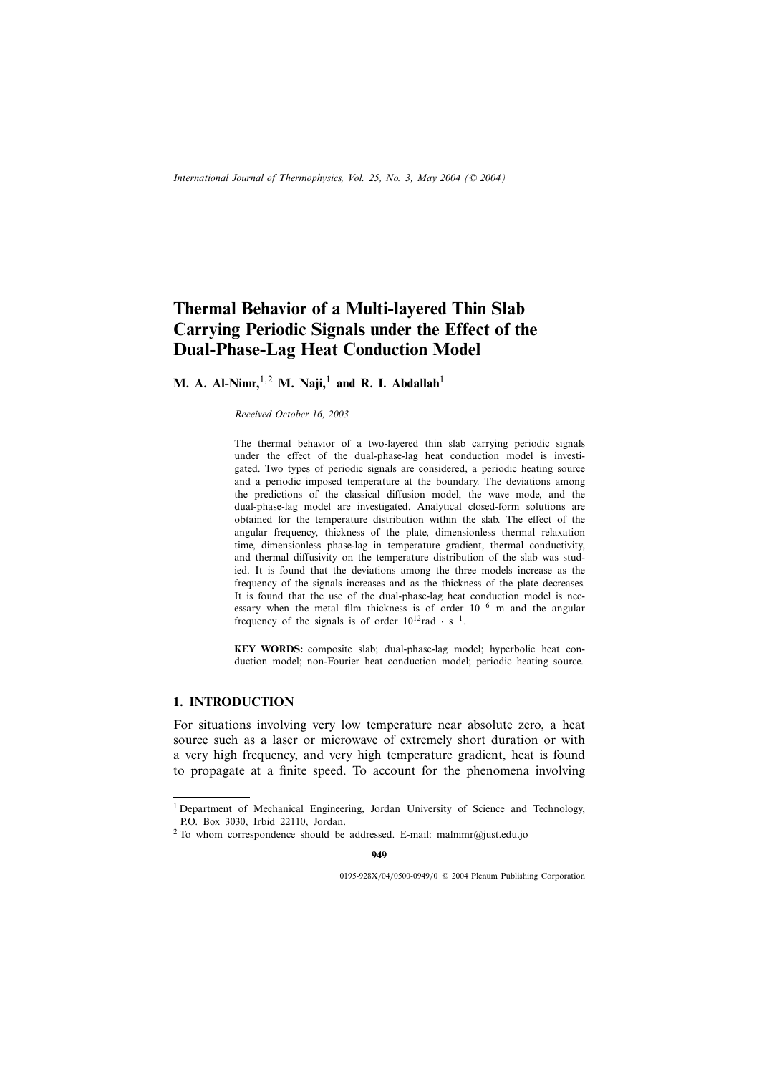# **Thermal Behavior of a Multi-layered Thin Slab Carrying Periodic Signals under the Effect of the Dual-Phase-Lag Heat Conduction Model**

**M. A. Al-Nimr,**<sup>1,2</sup> **M. Naji,**<sup>1</sup> and **R. I. Abdallah**<sup>1</sup>

#### *Received October 16, 2003*

The thermal behavior of a two-layered thin slab carrying periodic signals under the effect of the dual-phase-lag heat conduction model is investigated. Two types of periodic signals are considered, a periodic heating source and a periodic imposed temperature at the boundary. The deviations among the predictions of the classical diffusion model, the wave mode, and the dual-phase-lag model are investigated. Analytical closed-form solutions are obtained for the temperature distribution within the slab. The effect of the angular frequency, thickness of the plate, dimensionless thermal relaxation time, dimensionless phase-lag in temperature gradient, thermal conductivity, and thermal diffusivity on the temperature distribution of the slab was studied. It is found that the deviations among the three models increase as the frequency of the signals increases and as the thickness of the plate decreases. It is found that the use of the dual-phase-lag heat conduction model is necessary when the metal film thickness is of order  $10^{-6}$  m and the angular frequency of the signals is of order  $10^{12}$ rad · s<sup>−1</sup>.

**KEY WORDS:** composite slab; dual-phase-lag model; hyperbolic heat conduction model; non-Fourier heat conduction model; periodic heating source.

# **1. INTRODUCTION**

For situations involving very low temperature near absolute zero, a heat source such as a laser or microwave of extremely short duration or with a very high frequency, and very high temperature gradient, heat is found to propagate at a finite speed. To account for the phenomena involving

**949**

0195-928X/04/0500-0949/0 © 2004 Plenum Publishing Corporation

<sup>&</sup>lt;sup>1</sup> Department of Mechanical Engineering, Jordan University of Science and Technology, P.O. Box 3030, Irbid 22110, Jordan.

<sup>2</sup> To whom correspondence should be addressed. E-mail: malnimr@just.edu.jo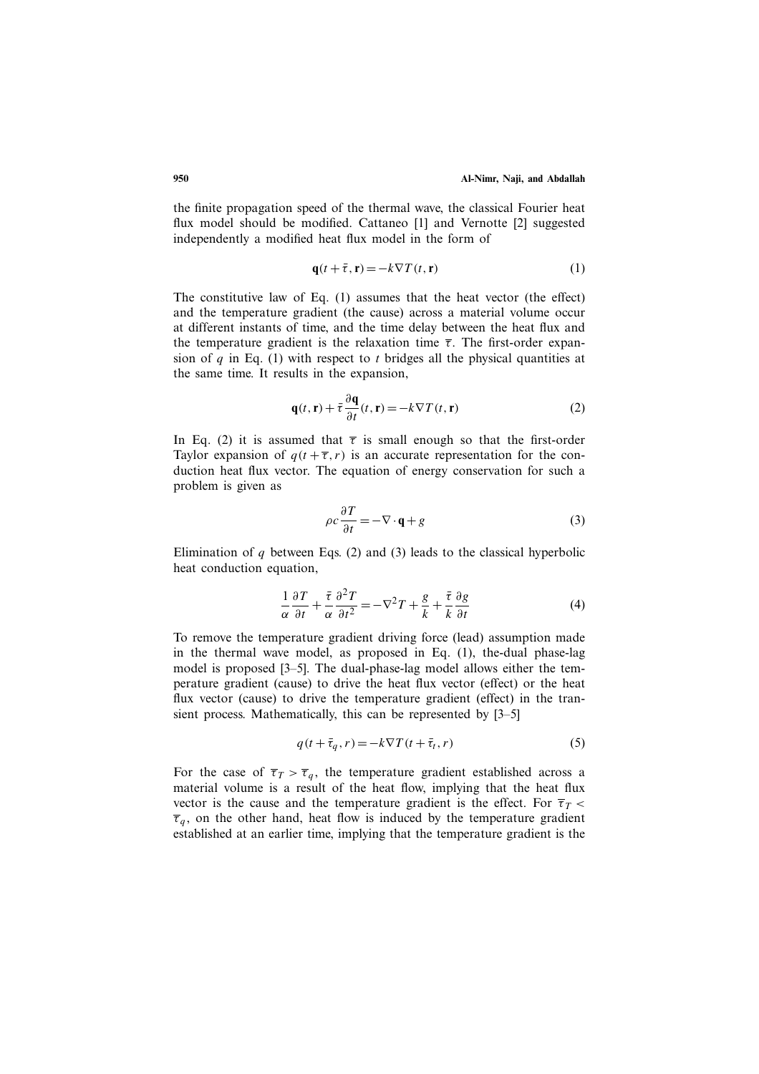the finite propagation speed of the thermal wave, the classical Fourier heat flux model should be modified. Cattaneo [1] and Vernotte [2] suggested independently a modified heat flux model in the form of

$$
\mathbf{q}(t+\bar{\tau}, \mathbf{r}) = -k \nabla T(t, \mathbf{r})\tag{1}
$$

The constitutive law of Eq. (1) assumes that the heat vector (the effect) and the temperature gradient (the cause) across a material volume occur at different instants of time, and the time delay between the heat flux and the temperature gradient is the relaxation time  $\bar{\tau}$ . The first-order expansion of  $q$  in Eq. (1) with respect to  $t$  bridges all the physical quantities at the same time. It results in the expansion,

$$
\mathbf{q}(t,\mathbf{r}) + \bar{\tau}\frac{\partial \mathbf{q}}{\partial t}(t,\mathbf{r}) = -k\nabla T(t,\mathbf{r})
$$
 (2)

In Eq. (2) it is assumed that  $\bar{\tau}$  is small enough so that the first-order Taylor expansion of  $q(t + \overline{\tau}, r)$  is an accurate representation for the conduction heat flux vector. The equation of energy conservation for such a problem is given as

$$
\rho c \frac{\partial T}{\partial t} = -\nabla \cdot \mathbf{q} + g \tag{3}
$$

Elimination of  $q$  between Eqs. (2) and (3) leads to the classical hyperbolic heat conduction equation,

$$
\frac{1}{\alpha} \frac{\partial T}{\partial t} + \frac{\bar{\tau}}{\alpha} \frac{\partial^2 T}{\partial t^2} = -\nabla^2 T + \frac{g}{k} + \frac{\bar{\tau}}{k} \frac{\partial g}{\partial t}
$$
(4)

To remove the temperature gradient driving force (lead) assumption made in the thermal wave model, as proposed in Eq. (1), the-dual phase-lag model is proposed [3–5]. The dual-phase-lag model allows either the temperature gradient (cause) to drive the heat flux vector (effect) or the heat flux vector (cause) to drive the temperature gradient (effect) in the transient process. Mathematically, this can be represented by [3–5]

$$
q(t + \bar{\tau}_q, r) = -k\nabla T(t + \bar{\tau}_t, r)
$$
\n<sup>(5)</sup>

For the case of  $\overline{\tau}_T > \overline{\tau}_q$ , the temperature gradient established across a material volume is a result of the heat flow, implying that the heat flux vector is the cause and the temperature gradient is the effect. For  $\overline{\tau}_T$  <  $\overline{\tau}_q$ , on the other hand, heat flow is induced by the temperature gradient established at an earlier time, implying that the temperature gradient is the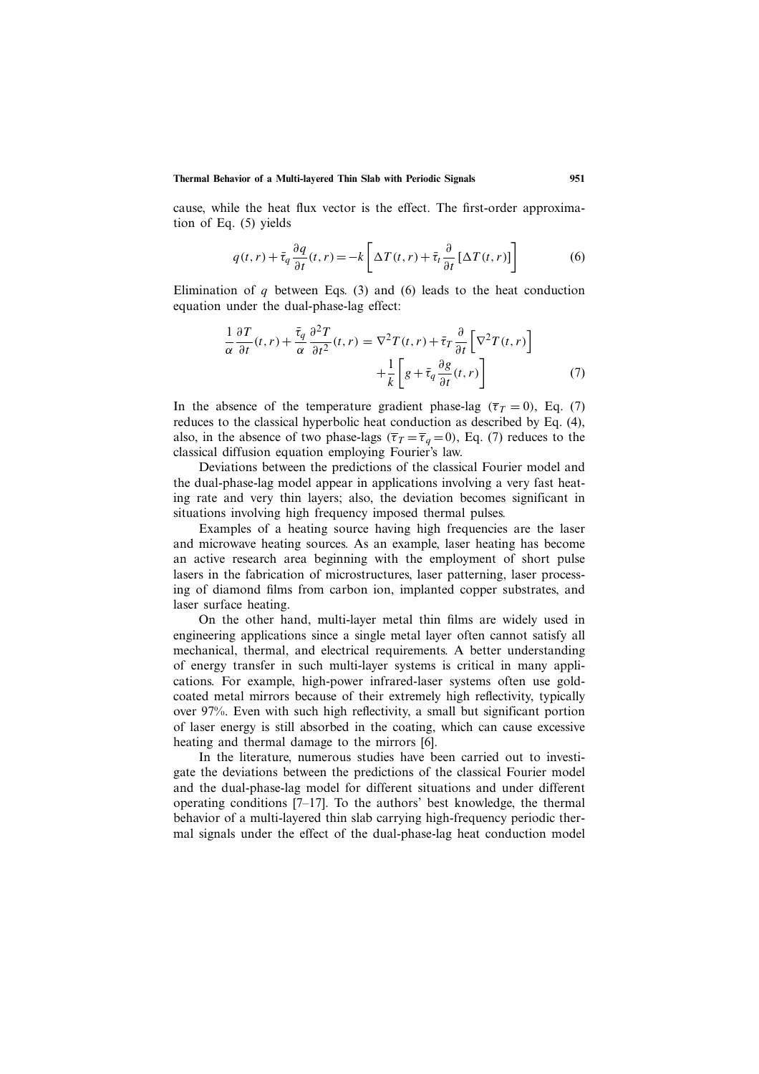cause, while the heat flux vector is the effect. The first-order approximation of Eq. (5) yields

$$
q(t,r) + \bar{\tau}_q \frac{\partial q}{\partial t}(t,r) = -k \left[ \Delta T(t,r) + \bar{\tau}_t \frac{\partial}{\partial t} \left[ \Delta T(t,r) \right] \right]
$$
(6)

Elimination of  $q$  between Eqs. (3) and (6) leads to the heat conduction equation under the dual-phase-lag effect:

$$
\frac{1}{\alpha} \frac{\partial T}{\partial t}(t, r) + \frac{\bar{\tau}_q}{\alpha} \frac{\partial^2 T}{\partial t^2}(t, r) = \nabla^2 T(t, r) + \bar{\tau}_T \frac{\partial}{\partial t} \left[ \nabla^2 T(t, r) \right] + \frac{1}{k} \left[ g + \bar{\tau}_q \frac{\partial g}{\partial t}(t, r) \right]
$$
\n(7)

In the absence of the temperature gradient phase-lag ( $\overline{\tau}_T = 0$ ), Eq. (7) reduces to the classical hyperbolic heat conduction as described by Eq. (4), also, in the absence of two phase-lags ( $\overline{\tau}_T = \overline{\tau}_q = 0$ ), Eq. (7) reduces to the classical diffusion equation employing Fourier's law.

Deviations between the predictions of the classical Fourier model and the dual-phase-lag model appear in applications involving a very fast heating rate and very thin layers; also, the deviation becomes significant in situations involving high frequency imposed thermal pulses.

Examples of a heating source having high frequencies are the laser and microwave heating sources. As an example, laser heating has become an active research area beginning with the employment of short pulse lasers in the fabrication of microstructures, laser patterning, laser processing of diamond films from carbon ion, implanted copper substrates, and laser surface heating.

On the other hand, multi-layer metal thin films are widely used in engineering applications since a single metal layer often cannot satisfy all mechanical, thermal, and electrical requirements. A better understanding of energy transfer in such multi-layer systems is critical in many applications. For example, high-power infrared-laser systems often use goldcoated metal mirrors because of their extremely high reflectivity, typically over 97%. Even with such high reflectivity, a small but significant portion of laser energy is still absorbed in the coating, which can cause excessive heating and thermal damage to the mirrors [6].

In the literature, numerous studies have been carried out to investigate the deviations between the predictions of the classical Fourier model and the dual-phase-lag model for different situations and under different operating conditions [7–17]. To the authors' best knowledge, the thermal behavior of a multi-layered thin slab carrying high-frequency periodic thermal signals under the effect of the dual-phase-lag heat conduction model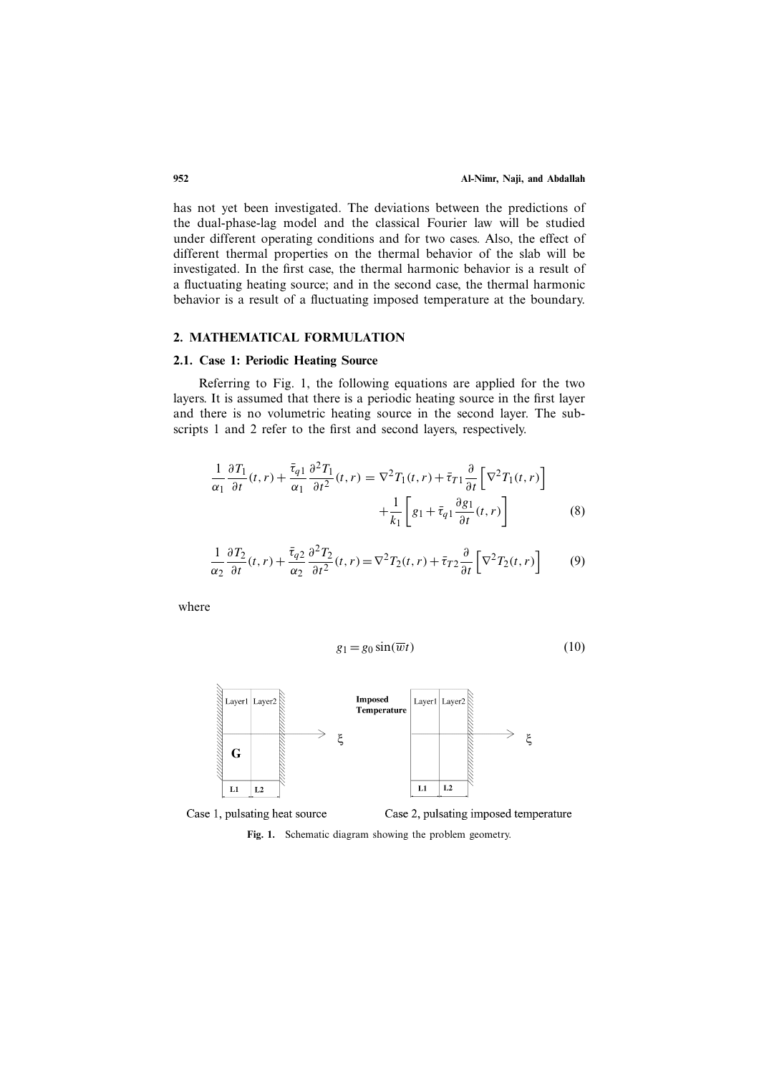has not yet been investigated. The deviations between the predictions of the dual-phase-lag model and the classical Fourier law will be studied under different operating conditions and for two cases. Also, the effect of different thermal properties on the thermal behavior of the slab will be investigated. In the first case, the thermal harmonic behavior is a result of a fluctuating heating source; and in the second case, the thermal harmonic behavior is a result of a fluctuating imposed temperature at the boundary.

### **2. MATHEMATICAL FORMULATION**

# **2.1. Case 1: Periodic Heating Source**

Referring to Fig. 1, the following equations are applied for the two layers. It is assumed that there is a periodic heating source in the first layer and there is no volumetric heating source in the second layer. The subscripts 1 and 2 refer to the first and second layers, respectively.

$$
\frac{1}{\alpha_1} \frac{\partial T_1}{\partial t}(t, r) + \frac{\bar{\tau}_{q1}}{\alpha_1} \frac{\partial^2 T_1}{\partial t^2}(t, r) = \nabla^2 T_1(t, r) + \bar{\tau}_{T1} \frac{\partial}{\partial t} \left[ \nabla^2 T_1(t, r) \right] + \frac{1}{k_1} \left[ g_1 + \bar{\tau}_{q1} \frac{\partial g_1}{\partial t}(t, r) \right]
$$
\n(8)

$$
\frac{1}{\alpha_2} \frac{\partial T_2}{\partial t}(t, r) + \frac{\bar{\tau}_{q2}}{\alpha_2} \frac{\partial^2 T_2}{\partial t^2}(t, r) = \nabla^2 T_2(t, r) + \bar{\tau}_{T2} \frac{\partial}{\partial t} \left[ \nabla^2 T_2(t, r) \right] \tag{9}
$$

where

$$
g_1 = g_0 \sin(\overline{w}t) \tag{10}
$$



**Fig. 1.** Schematic diagram showing the problem geometry.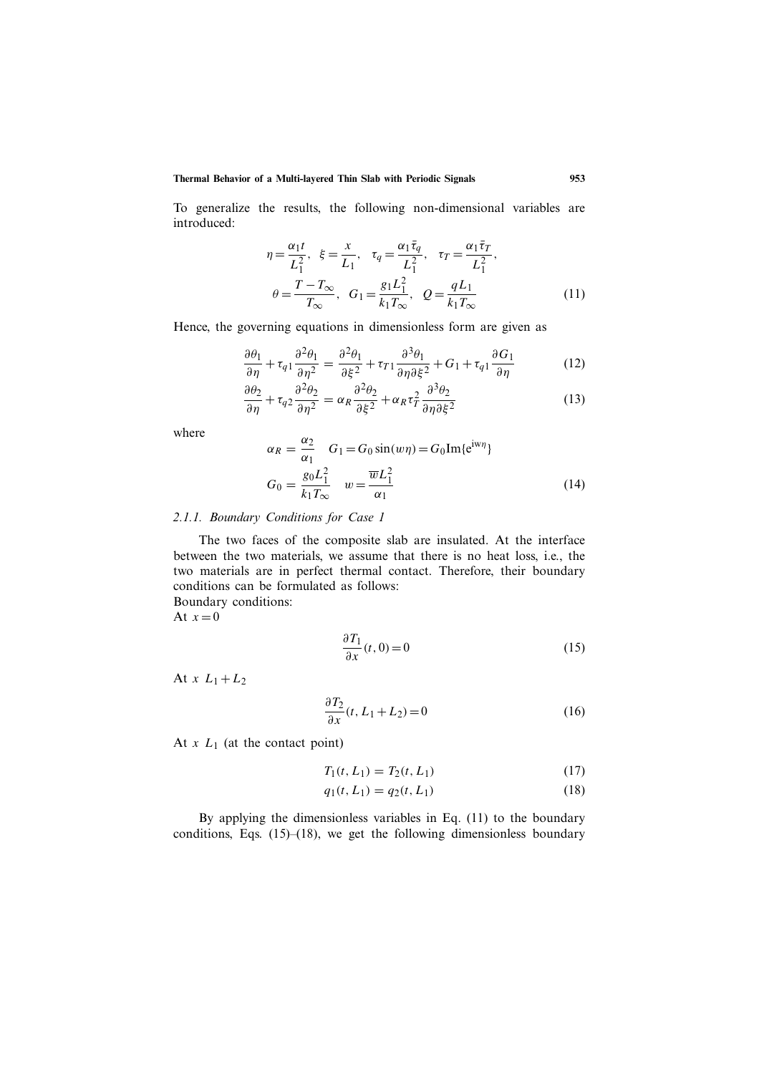To generalize the results, the following non-dimensional variables are introduced:

$$
\eta = \frac{\alpha_1 t}{L_1^2}, \ \xi = \frac{x}{L_1}, \ \tau_q = \frac{\alpha_1 \bar{\tau}_q}{L_1^2}, \ \tau_T = \frac{\alpha_1 \bar{\tau}_T}{L_1^2},
$$

$$
\theta = \frac{T - T_{\infty}}{T_{\infty}}, \ G_1 = \frac{g_1 L_1^2}{k_1 T_{\infty}}, \ Q = \frac{q L_1}{k_1 T_{\infty}}
$$
(11)

Hence, the governing equations in dimensionless form are given as

$$
\frac{\partial \theta_1}{\partial \eta} + \tau_{q1} \frac{\partial^2 \theta_1}{\partial \eta^2} = \frac{\partial^2 \theta_1}{\partial \xi^2} + \tau_{T1} \frac{\partial^3 \theta_1}{\partial \eta \partial \xi^2} + G_1 + \tau_{q1} \frac{\partial G_1}{\partial \eta}
$$
(12)

$$
\frac{\partial \theta_2}{\partial \eta} + \tau_{q2} \frac{\partial^2 \theta_2}{\partial \eta^2} = \alpha_R \frac{\partial^2 \theta_2}{\partial \xi^2} + \alpha_R \tau_T^2 \frac{\partial^3 \theta_2}{\partial \eta \partial \xi^2}
$$
(13)

where

$$
\alpha_R = \frac{\alpha_2}{\alpha_1} \quad G_1 = G_0 \sin(w\eta) = G_0 \text{Im}\{e^{i w \eta}\}
$$

$$
G_0 = \frac{g_0 L_1^2}{k_1 T_\infty} \quad w = \frac{\overline{w} L_1^2}{\alpha_1} \tag{14}
$$

# *2.1.1. Boundary Conditions for Case 1*

The two faces of the composite slab are insulated. At the interface between the two materials, we assume that there is no heat loss, i.e., the two materials are in perfect thermal contact. Therefore, their boundary conditions can be formulated as follows: Boundary conditions:

At  $x=0$ 

$$
\frac{\partial T_1}{\partial x}(t,0) = 0\tag{15}
$$

At  $x L_1 + L_2$ 

$$
\frac{\partial T_2}{\partial x}(t, L_1 + L_2) = 0\tag{16}
$$

At  $x L_1$  (at the contact point)

$$
T_1(t, L_1) = T_2(t, L_1)
$$
\n(17)

$$
q_1(t, L_1) = q_2(t, L_1)
$$
\n(18)

By applying the dimensionless variables in Eq. (11) to the boundary conditions, Eqs.  $(15)$ – $(18)$ , we get the following dimensionless boundary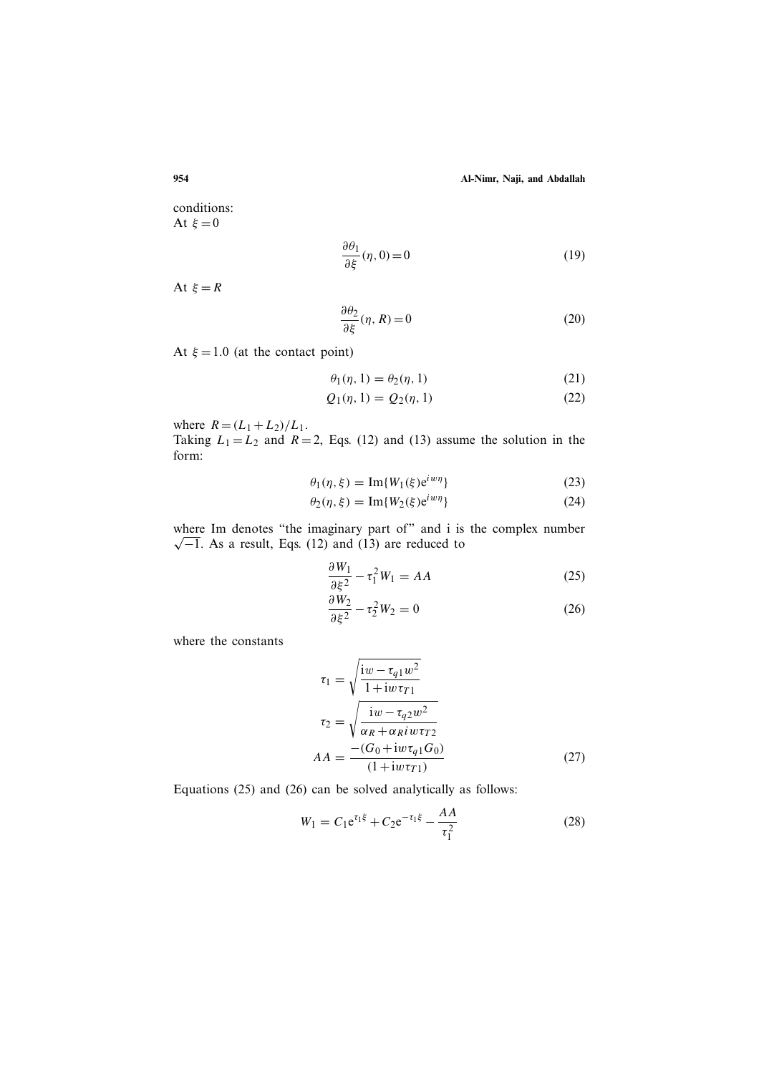conditions: At  $\xi = 0$ 

$$
\frac{\partial \theta_1}{\partial \xi}(\eta, 0) = 0 \tag{19}
$$

At  $\xi = R$ 

$$
\frac{\partial \theta_2}{\partial \xi}(\eta, R) = 0 \tag{20}
$$

At  $\xi = 1.0$  (at the contact point)

$$
\theta_1(\eta, 1) = \theta_2(\eta, 1) \tag{21}
$$

$$
Q_1(\eta, 1) = Q_2(\eta, 1)
$$
 (22)

where  $R = (L_1 + L_2)/L_1$ .

Taking  $L_1 = L_2$  and  $R = 2$ , Eqs. (12) and (13) assume the solution in the form:

$$
\theta_1(\eta, \xi) = \text{Im}\{W_1(\xi)e^{iwn}\}\tag{23}
$$

$$
\theta_2(\eta,\xi) = \operatorname{Im}\{W_2(\xi)e^{i w \eta}\}\tag{24}
$$

where Im denotes "the imaginary part of" and i is the complex number  $\sqrt{-1}$ . As a result, Eqs. (12) and (13) are reduced to

$$
\frac{\partial W_1}{\partial \xi^2} - \tau_1^2 W_1 = AA \tag{25}
$$

$$
\frac{\partial W_2}{\partial \xi^2} - \tau_2^2 W_2 = 0 \tag{26}
$$

where the constants

$$
\tau_1 = \sqrt{\frac{iw - \tau_{q1}w^2}{1 + iw \tau_{r1}}}
$$
\n
$$
\tau_2 = \sqrt{\frac{iw - \tau_{q2}w^2}{\alpha_R + \alpha_R iw \tau_{r2}}}
$$
\n
$$
AA = \frac{-(G_0 + iw \tau_{q1} G_0)}{(1 + iw \tau_{r1})}
$$
\n(27)

Equations (25) and (26) can be solved analytically as follows:

$$
W_1 = C_1 e^{\tau_1 \xi} + C_2 e^{-\tau_1 \xi} - \frac{AA}{\tau_1^2}
$$
 (28)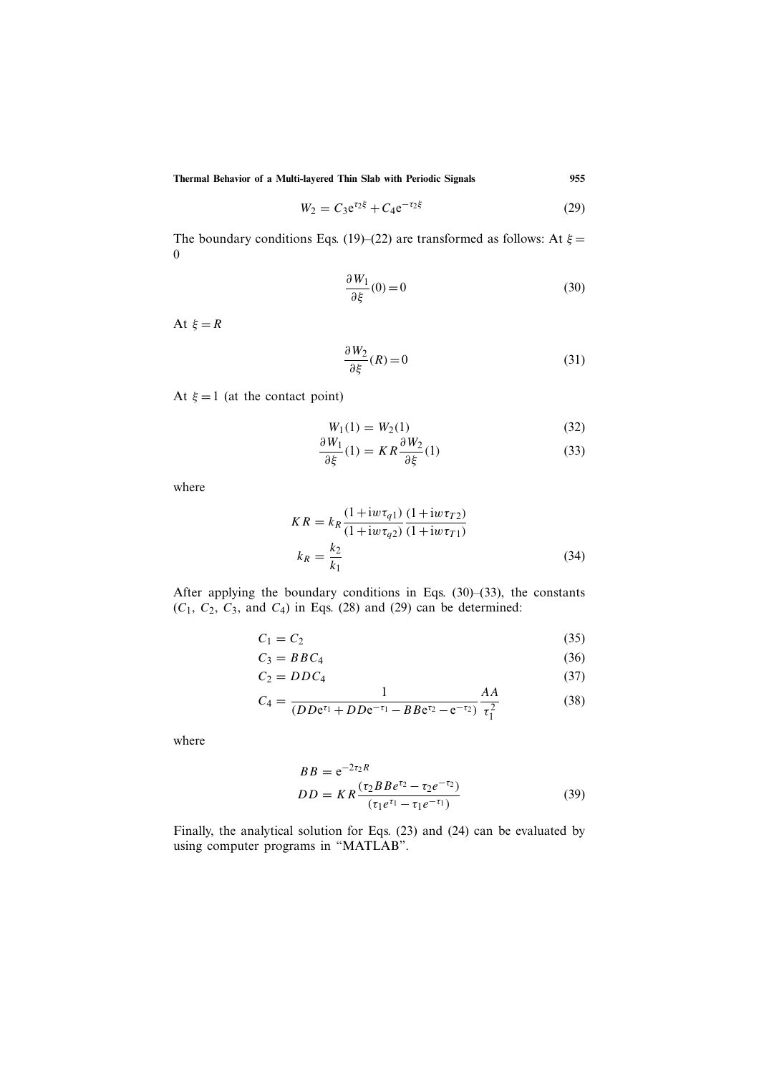$$
W_2 = C_3 e^{\tau_2 \xi} + C_4 e^{-\tau_2 \xi}
$$
 (29)

The boundary conditions Eqs. (19)–(22) are transformed as follows: At  $\xi$  = 0

$$
\frac{\partial W_1}{\partial \xi}(0) = 0\tag{30}
$$

At  $\xi = R$ 

$$
\frac{\partial W_2}{\partial \xi}(R) = 0\tag{31}
$$

At  $\xi = 1$  (at the contact point)

$$
W_1(1) = W_2(1)
$$
  
\n
$$
W_1(1) = W_2(1)
$$
  
\n
$$
\frac{\partial W_2}{\partial W_2}
$$
 (32)

$$
\frac{\partial W_1}{\partial \xi}(1) = KR \frac{\partial W_2}{\partial \xi}(1)
$$
 (33)

where

$$
KR = k_R \frac{(1 + i w \tau_{q1})}{(1 + i w \tau_{q2})} \frac{(1 + i w \tau_{T2})}{(1 + i w \tau_{T1})}
$$

$$
k_R = \frac{k_2}{k_1}
$$
(34)

After applying the boundary conditions in Eqs. (30)–(33), the constants  $(C_1, C_2, C_3, \text{ and } C_4)$  in Eqs. (28) and (29) can be determined:

$$
C_1 = C_2 \tag{35}
$$

$$
C_3 = BBC_4 \tag{36}
$$

$$
C_2 = DDC_4 \tag{37}
$$

$$
C_4 = \frac{1}{(DDe^{\tau_1} + DDe^{-\tau_1} - BBe^{\tau_2} - e^{-\tau_2})} \frac{AA}{\tau_1^2}
$$
(38)

where

$$
BB = e^{-2\tau_2 R}
$$
  
\n
$$
DD = KR \frac{(\tau_2 B B e^{\tau_2} - \tau_2 e^{-\tau_2})}{(\tau_1 e^{\tau_1} - \tau_1 e^{-\tau_1})}
$$
\n(39)

Finally, the analytical solution for Eqs. (23) and (24) can be evaluated by using computer programs in "MATLAB".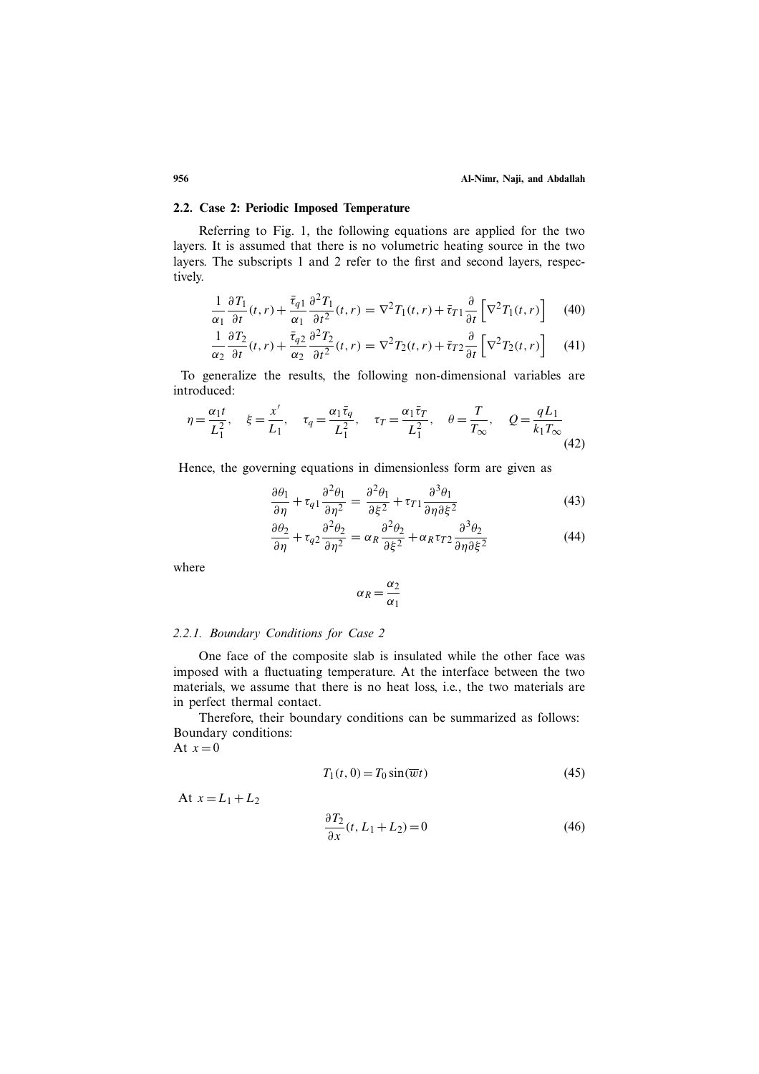# **2.2. Case 2: Periodic Imposed Temperature**

Referring to Fig. 1, the following equations are applied for the two layers. It is assumed that there is no volumetric heating source in the two layers. The subscripts 1 and 2 refer to the first and second layers, respectively.

$$
\frac{1}{\alpha_1} \frac{\partial T_1}{\partial t}(t, r) + \frac{\overline{\tau}_{q1}}{\alpha_1} \frac{\partial^2 T_1}{\partial t^2}(t, r) = \nabla^2 T_1(t, r) + \overline{\tau}_{T1} \frac{\partial}{\partial t} \left[ \nabla^2 T_1(t, r) \right]
$$
(40)

$$
\frac{1}{\alpha_2} \frac{\partial T_2}{\partial t}(t, r) + \frac{\bar{\tau}_{q2}}{\alpha_2} \frac{\partial^2 T_2}{\partial t^2}(t, r) = \nabla^2 T_2(t, r) + \bar{\tau}_{T2} \frac{\partial}{\partial t} \left[ \nabla^2 T_2(t, r) \right] \tag{41}
$$

To generalize the results, the following non-dimensional variables are introduced:

$$
\eta = \frac{\alpha_1 t}{L_1^2}, \quad \xi = \frac{x'}{L_1}, \quad \tau_q = \frac{\alpha_1 \bar{\tau}_q}{L_1^2}, \quad \tau_T = \frac{\alpha_1 \bar{\tau}_T}{L_1^2}, \quad \theta = \frac{T}{T_{\infty}}, \quad Q = \frac{qL_1}{k_1 T_{\infty}}
$$
(42)

Hence, the governing equations in dimensionless form are given as

$$
\frac{\partial \theta_1}{\partial \eta} + \tau_{q1} \frac{\partial^2 \theta_1}{\partial \eta^2} = \frac{\partial^2 \theta_1}{\partial \xi^2} + \tau_{T1} \frac{\partial^3 \theta_1}{\partial \eta \partial \xi^2}
$$
(43)

$$
\frac{\partial \theta_2}{\partial \eta} + \tau_{q2} \frac{\partial^2 \theta_2}{\partial \eta^2} = \alpha_R \frac{\partial^2 \theta_2}{\partial \xi^2} + \alpha_R \tau_{T2} \frac{\partial^3 \theta_2}{\partial \eta \partial \xi^2}
$$
(44)

where

$$
\alpha_R = \frac{\alpha_2}{\alpha_1}
$$

#### *2.2.1. Boundary Conditions for Case 2*

One face of the composite slab is insulated while the other face was imposed with a fluctuating temperature. At the interface between the two materials, we assume that there is no heat loss, i.e., the two materials are in perfect thermal contact.

Therefore, their boundary conditions can be summarized as follows: Boundary conditions:

At  $x=0$ 

$$
T_1(t,0) = T_0 \sin(\overline{w}t)
$$
\n(45)

At  $x = L_1 + L_2$ 

$$
\frac{\partial T_2}{\partial x}(t, L_1 + L_2) = 0\tag{46}
$$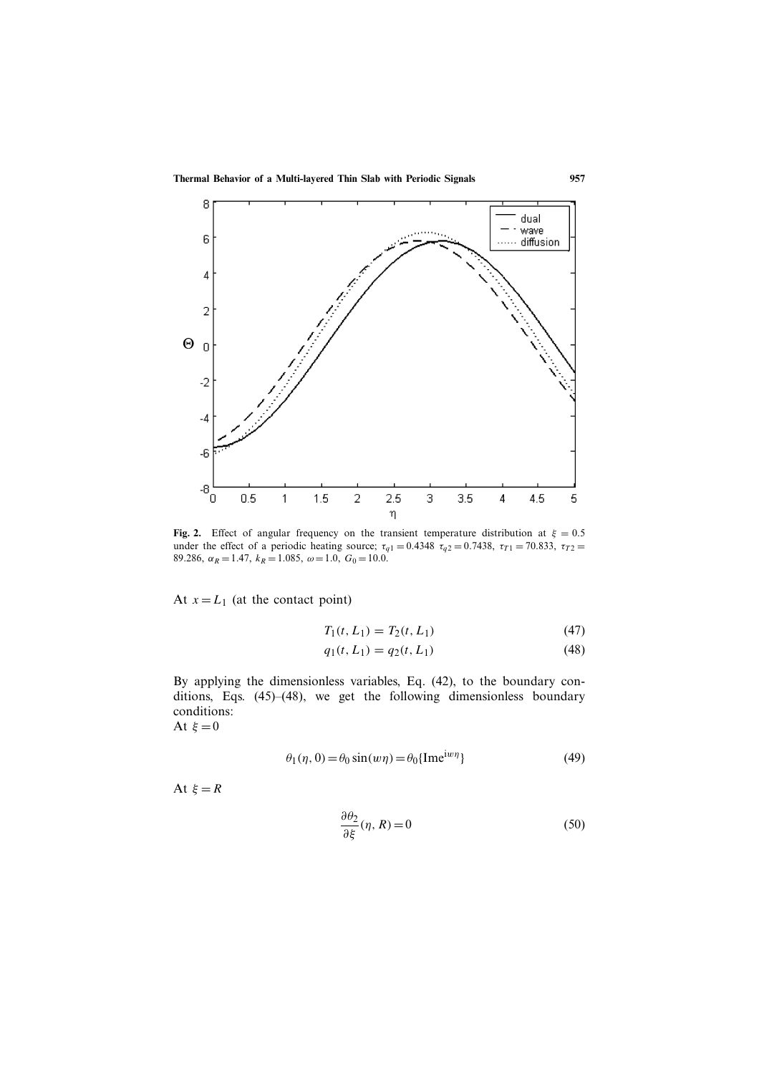

**Fig. 2.** Effect of angular frequency on the transient temperature distribution at  $\xi = 0.5$ under the effect of a periodic heating source;  $\tau_{q1} = 0.4348 \tau_{q2} = 0.7438$ ,  $\tau_{T1} = 70.833$ ,  $\tau_{T2} =$ 89.286,  $\alpha_R = 1.47$ ,  $k_R = 1.085$ ,  $\omega = 1.0$ ,  $G_0 = 10.0$ .

At  $x = L_1$  (at the contact point)

$$
T_1(t, L_1) = T_2(t, L_1)
$$
\n(47)

$$
q_1(t, L_1) = q_2(t, L_1)
$$
\n(48)

By applying the dimensionless variables, Eq. (42), to the boundary conditions, Eqs. (45)–(48), we get the following dimensionless boundary conditions:

At  $\xi = 0$ 

$$
\theta_1(\eta, 0) = \theta_0 \sin(w\eta) = \theta_0 \{ \text{Im}e^{i w \eta} \}
$$
 (49)

At  $\xi = R$ 

$$
\frac{\partial \theta_2}{\partial \xi}(\eta, R) = 0 \tag{50}
$$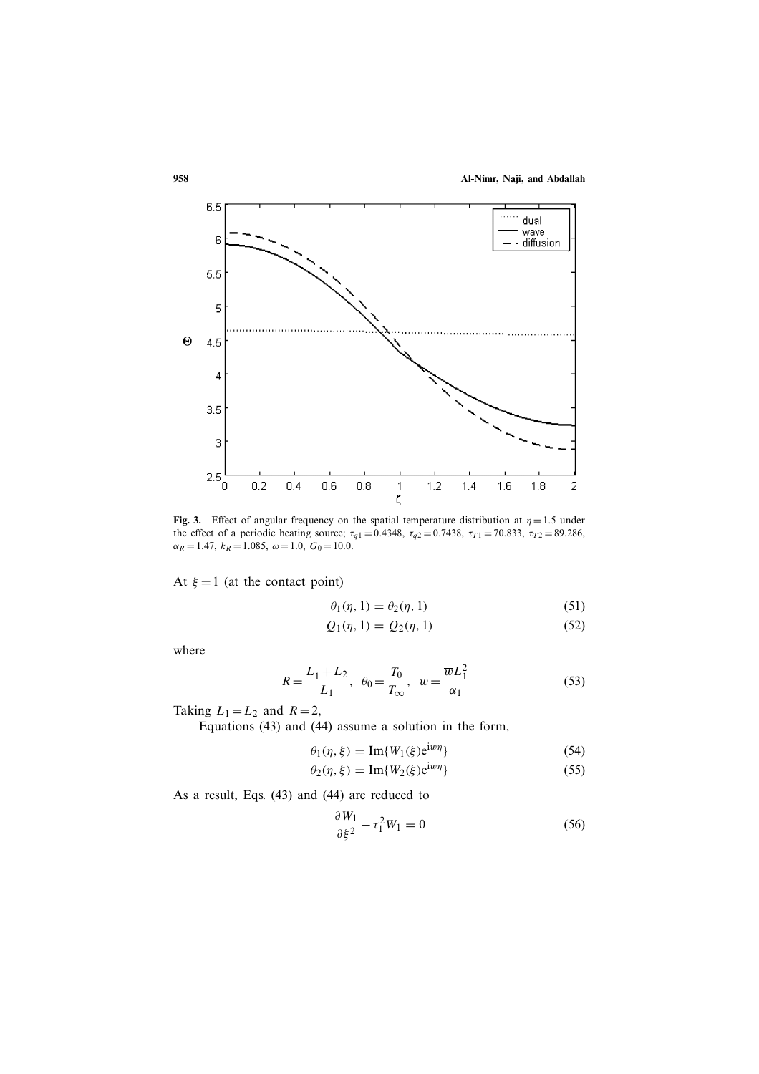

**Fig. 3.** Effect of angular frequency on the spatial temperature distribution at  $\eta = 1.5$  under the effect of a periodic heating source;  $\tau_{q1} = 0.4348$ ,  $\tau_{q2} = 0.7438$ ,  $\tau_{T1} = 70.833$ ,  $\tau_{T2} = 89.286$ ,  $\alpha_R = 1.47, k_R = 1.085, \omega = 1.0, G_0 = 10.0.$ 

At  $\xi = 1$  (at the contact point)

$$
\theta_1(\eta, 1) = \theta_2(\eta, 1) \tag{51}
$$

$$
Q_1(\eta, 1) = Q_2(\eta, 1) \tag{52}
$$

where

$$
R = \frac{L_1 + L_2}{L_1}, \ \theta_0 = \frac{T_0}{T_{\infty}}, \ \ w = \frac{\overline{w}L_1^2}{\alpha_1}
$$
 (53)

Taking  $L_1 = L_2$  and  $R = 2$ ,

Equations (43) and (44) assume a solution in the form,

$$
\theta_1(\eta, \xi) = \text{Im}\{W_1(\xi) e^{i w \eta}\}\tag{54}
$$

$$
\theta_2(\eta,\xi) = \operatorname{Im}\{W_2(\xi)e^{iw\eta}\}\tag{55}
$$

As a result, Eqs. (43) and (44) are reduced to

$$
\frac{\partial W_1}{\partial \xi^2} - \tau_1^2 W_1 = 0 \tag{56}
$$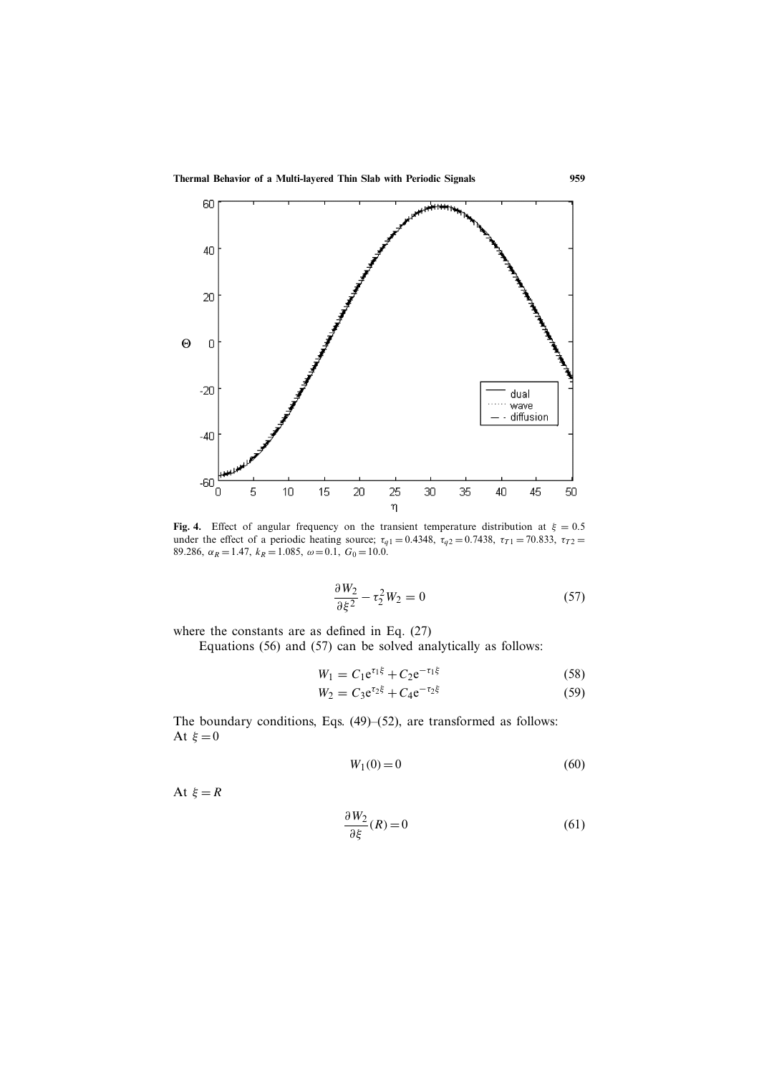

**Fig. 4.** Effect of angular frequency on the transient temperature distribution at  $\xi = 0.5$ under the effect of a periodic heating source;  $\tau_{q1} = 0.4348$ ,  $\tau_{q2} = 0.7438$ ,  $\tau_{T1} = 70.833$ ,  $\tau_{T2} =$ 89.286,  $\alpha_R = 1.47$ ,  $k_R = 1.085$ ,  $\omega = 0.1$ ,  $G_0 = 10.0$ .

$$
\frac{\partial W_2}{\partial \xi^2} - \tau_2^2 W_2 = 0 \tag{57}
$$

where the constants are as defined in Eq. (27)

Equations (56) and (57) can be solved analytically as follows:

$$
W_1 = C_1 e^{\tau_1 \xi} + C_2 e^{-\tau_1 \xi}
$$
 (58)

$$
W_2 = C_3 e^{\tau_2 \xi} + C_4 e^{-\tau_2 \xi}
$$
 (59)

The boundary conditions, Eqs. (49)–(52), are transformed as follows: At  $\xi = 0$ 

$$
W_1(0) = 0 \t\t(60)
$$

At  $\xi = R$ 

$$
\frac{\partial W_2}{\partial \xi}(R) = 0\tag{61}
$$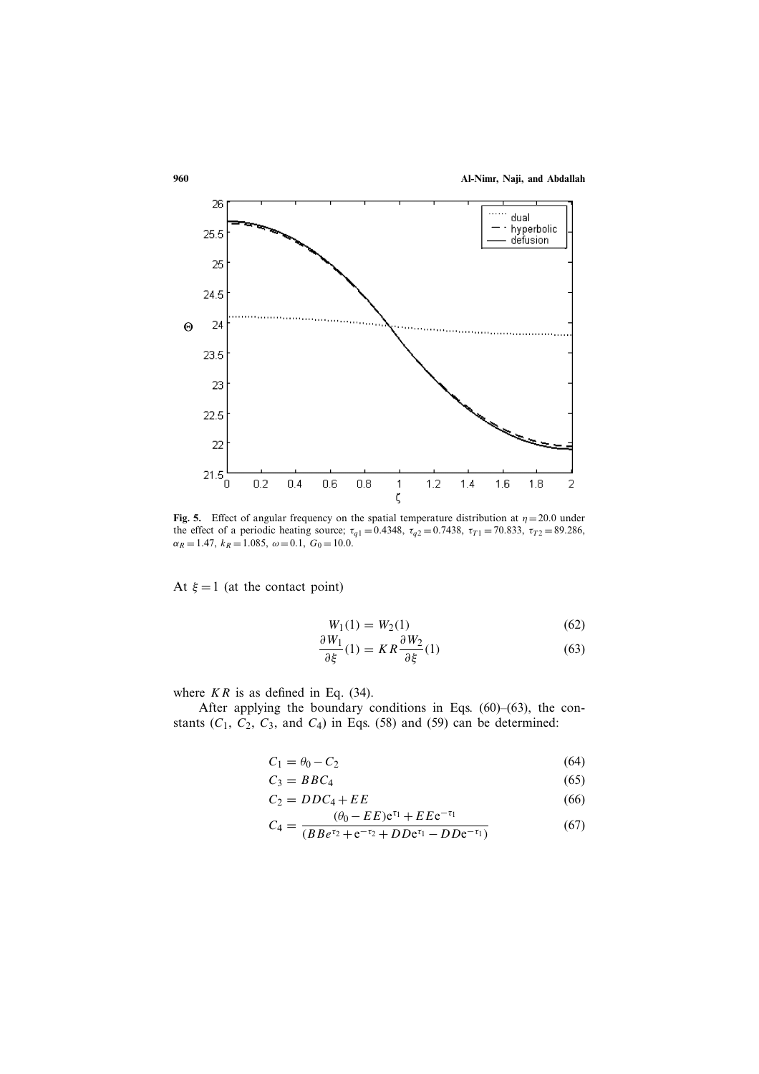**960 Al-Nimr, Naji, and Abdallah**



**Fig. 5.** Effect of angular frequency on the spatial temperature distribution at  $\eta = 20.0$  under the effect of a periodic heating source;  $\tau_{q1} = 0.4348$ ,  $\tau_{q2} = 0.7438$ ,  $\tau_{T1} = 70.833$ ,  $\tau_{T2} = 89.286$ ,  $\alpha_R = 1.47, k_R = 1.085, \omega = 0.1, G_0 = 10.0.$ 

At  $\xi = 1$  (at the contact point)

$$
W_1(1) = W_2(1)
$$
\n
$$
W_1
$$
\n
$$
\frac{\partial W_2}{\partial W_2}
$$
\n(62)

$$
\frac{\partial W_1}{\partial \xi}(1) = KR \frac{\partial W_2}{\partial \xi}(1)
$$
(63)

where  $KR$  is as defined in Eq. (34).

After applying the boundary conditions in Eqs. (60)–(63), the constants  $(C_1, C_2, C_3,$  and  $C_4$ ) in Eqs. (58) and (59) can be determined:

$$
C_1 = \theta_0 - C_2 \tag{64}
$$

$$
C_3 = BBC_4 \tag{65}
$$

$$
C_2 = DDC_4 + EE
$$
\n
$$
(0, EF) \circ I_1 + EF_2 = I_1
$$
\n(66)

$$
C_4 = \frac{(\theta_0 - EE)e^{\tau_1} + EEe^{-\tau_1}}{(BBe^{\tau_2} + e^{-\tau_2} + DDe^{\tau_1} - DDe^{-\tau_1})}
$$
(67)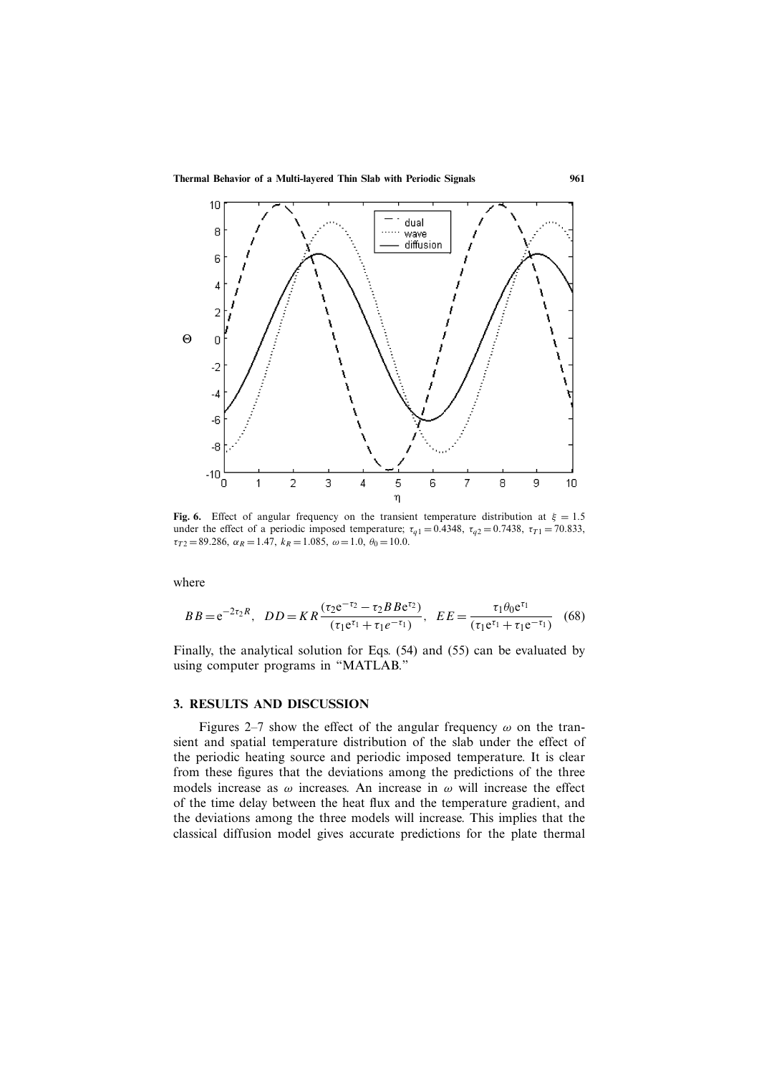

**Fig. 6.** Effect of angular frequency on the transient temperature distribution at  $\xi = 1.5$ under the effect of a periodic imposed temperature;  $\tau_{q1} = 0.4348$ ,  $\tau_{q2} = 0.7438$ ,  $\tau_{T1} = 70.833$ ,  $\tau_{T2} = 89.286, \ \alpha_R = 1.47, \ k_R = 1.085, \ \omega = 1.0, \ \theta_0 = 10.0.$ 

where

$$
BB = e^{-2\tau_2 R}, \quad DD = KR \frac{(\tau_2 e^{-\tau_2} - \tau_2 B B e^{\tau_2})}{(\tau_1 e^{\tau_1} + \tau_1 e^{-\tau_1})}, \quad EE = \frac{\tau_1 \theta_0 e^{\tau_1}}{(\tau_1 e^{\tau_1} + \tau_1 e^{-\tau_1})} \quad (68)
$$

Finally, the analytical solution for Eqs. (54) and (55) can be evaluated by using computer programs in "MATLAB."

#### **3. RESULTS AND DISCUSSION**

Figures 2–7 show the effect of the angular frequency  $\omega$  on the transient and spatial temperature distribution of the slab under the effect of the periodic heating source and periodic imposed temperature. It is clear from these figures that the deviations among the predictions of the three models increase as  $\omega$  increases. An increase in  $\omega$  will increase the effect of the time delay between the heat flux and the temperature gradient, and the deviations among the three models will increase. This implies that the classical diffusion model gives accurate predictions for the plate thermal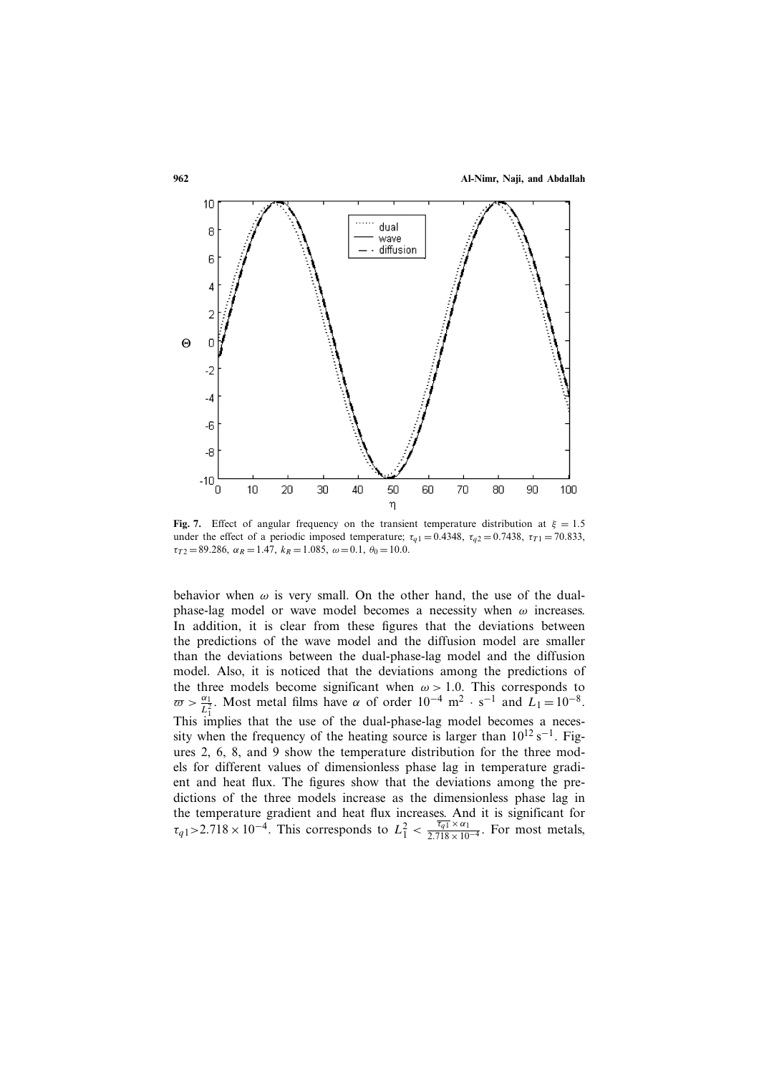

**Fig. 7.** Effect of angular frequency on the transient temperature distribution at  $\xi = 1.5$ under the effect of a periodic imposed temperature;  $\tau_{q1} = 0.4348$ ,  $\tau_{q2} = 0.7438$ ,  $\tau_{T1} = 70.833$ ,  $\tau_{T2} = 89.286, \ \alpha_R = 1.47, \ k_R = 1.085, \ \omega = 0.1, \ \theta_0 = 10.0.$ 

behavior when  $\omega$  is very small. On the other hand, the use of the dualphase-lag model or wave model becomes a necessity when  $\omega$  increases. In addition, it is clear from these figures that the deviations between the predictions of the wave model and the diffusion model are smaller than the deviations between the dual-phase-lag model and the diffusion model. Also, it is noticed that the deviations among the predictions of the three models become significant when  $\omega > 1.0$ . This corresponds to  $\pi > \frac{\alpha_1}{2}$ . Most metal films have  $\alpha$  of order  $10^{-4}$  m<sup>2</sup>, s<sup>-1</sup> and  $I_1$  –  $10^{-8}$ .  $\overline{\omega} > \frac{\alpha_1}{L_1^2}$ . Most metal films have  $\alpha$  of order  $10^{-4}$  m<sup>2</sup> · s<sup>-1</sup> and  $L_1 = 10^{-8}$ .<br>This implies that the use of the dual-phase-lag model becomes a neces-This implies that the use of the dual-phase-lag model becomes a necessity when the frequency of the heating source is larger than  $10^{12}$  s<sup>-1</sup>. Figures 2, 6, 8, and 9 show the temperature distribution for the three models for different values of dimensionless phase lag in temperature gradient and heat flux. The figures show that the deviations among the predictions of the three models increase as the dimensionless phase lag in the temperature gradient and heat flux increases. And it is significant for  $\tau_{q1} > 2.718 \times 10^{-4}$ . This corresponds to  $L_1^2 < \frac{\overline{\tau_{q1}} \times \alpha_1}{2.718 \times 10^{-4}}$ . For most metals,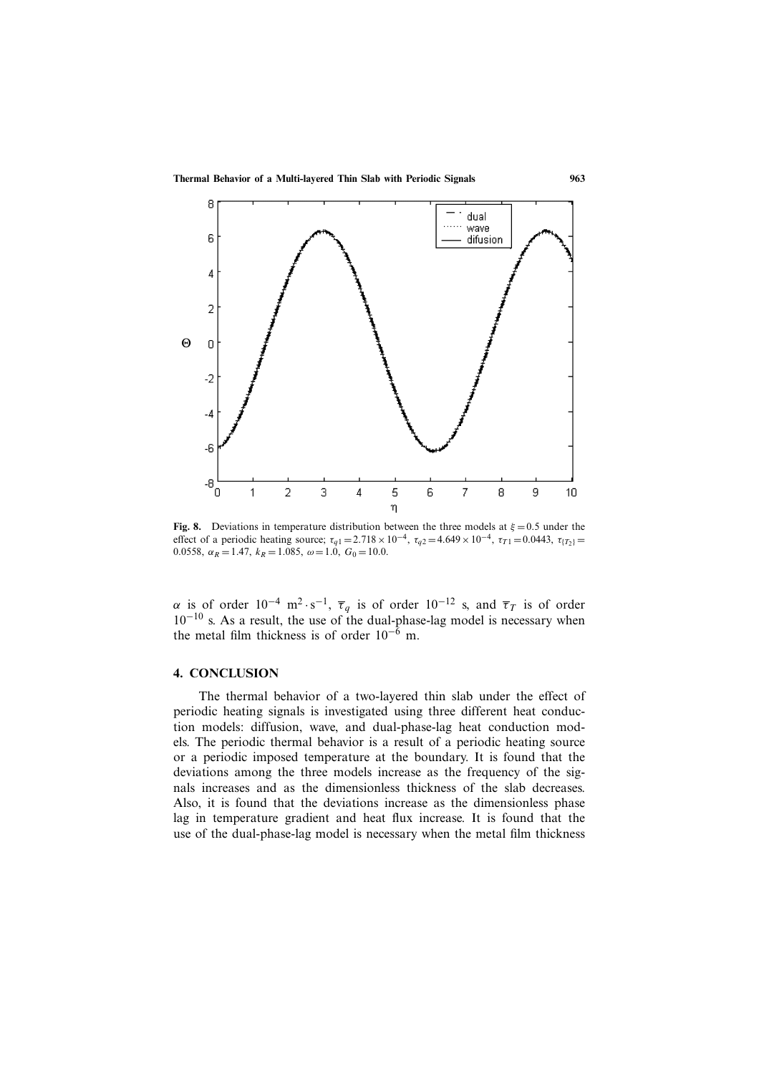

**Fig. 8.** Deviations in temperature distribution between the three models at  $\xi = 0.5$  under the effect of a periodic heating source;  $\tau_{q1} = 2.718 \times 10^{-4}$ ,  $\tau_{q2} = 4.649 \times 10^{-4}$ ,  $\tau_{T1} = 0.0443$ ,  $\tau_{T2} =$ 0.0558,  $\alpha_R = 1.47$ ,  $k_R = 1.085$ ,  $\omega = 1.0$ ,  $G_0 = 10.0$ .

 $\alpha$  is of order 10<sup>−4</sup> m<sup>2</sup> · s<sup>−1</sup>, τ<sub>*q*</sub> is of order 10<sup>−12</sup> s, and τ<sub>*T*</sub> is of order 10<sup>−10</sup> s. As a result, the use of the dual-phase-lag model is necessary when the metal film thickness is of order  $10^{-6}$  m.

### **4. CONCLUSION**

The thermal behavior of a two-layered thin slab under the effect of periodic heating signals is investigated using three different heat conduction models: diffusion, wave, and dual-phase-lag heat conduction models. The periodic thermal behavior is a result of a periodic heating source or a periodic imposed temperature at the boundary. It is found that the deviations among the three models increase as the frequency of the signals increases and as the dimensionless thickness of the slab decreases. Also, it is found that the deviations increase as the dimensionless phase lag in temperature gradient and heat flux increase. It is found that the use of the dual-phase-lag model is necessary when the metal film thickness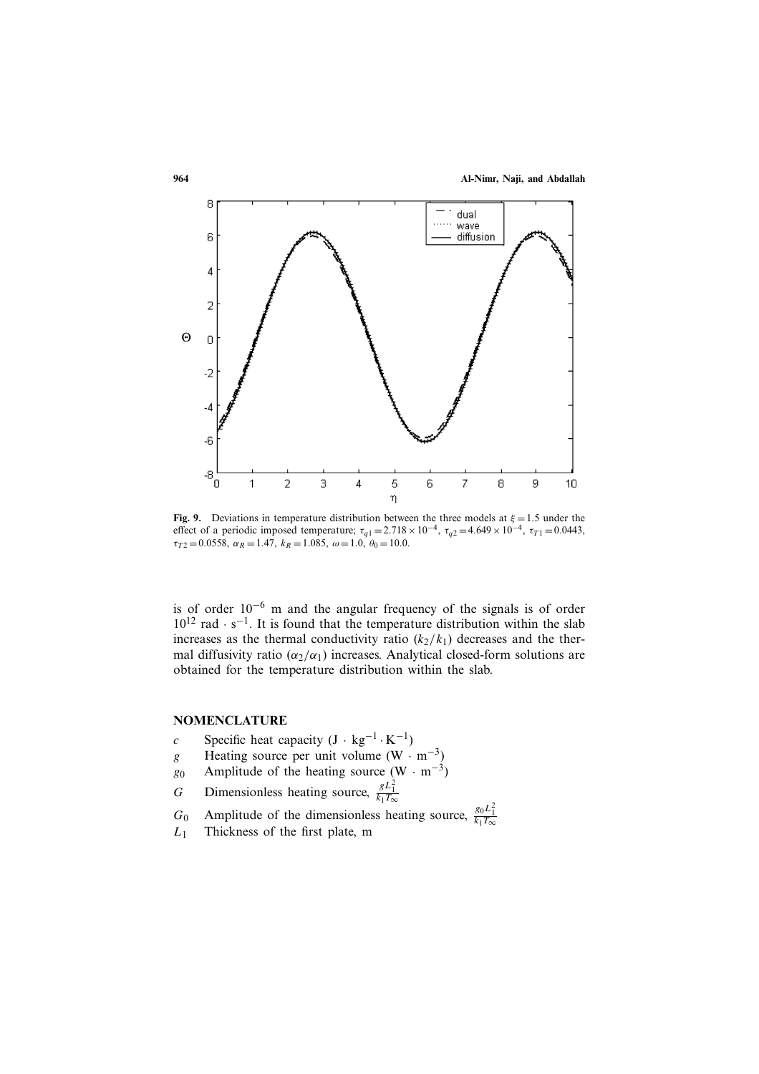

**Fig. 9.** Deviations in temperature distribution between the three models at  $\xi = 1.5$  under the effect of a periodic imposed temperature;  $\tau_{q1} = 2.718 \times 10^{-4}$ ,  $\tau_{q2} = 4.649 \times 10^{-4}$ ,  $\tau_{T1} = 0.0443$ ,  $\tau_{T2} = 0.0558$ ,  $\alpha_R = 1.47$ ,  $k_R = 1.085$ ,  $\omega = 1.0$ ,  $\theta_0 = 10.0$ .

is of order 10−<sup>6</sup> m and the angular frequency of the signals is of order  $10^{12}$  rad · s<sup>-1</sup>. It is found that the temperature distribution within the slab increases as the thermal conductivity ratio  $(k_2/k_1)$  decreases and the thermal diffusivity ratio ( $\alpha_2/\alpha_1$ ) increases. Analytical closed-form solutions are obtained for the temperature distribution within the slab.

# **NOMENCLATURE**

- 
- c Specific heat capacity  $(J \cdot kg^{-1} \cdot K^{-1})$ <br>g Heating source per unit volume (W · g Heating source per unit volume  $(W \cdot m^{-3})$ <br>g<sub>0</sub> Amplitude of the heating source  $(W \cdot m^{-3})$
- g<sub>0</sub> Amplitude of the heating source (W · m<sup>-3</sup>)<br>
G Dimensionless heating source,  $\frac{gL_1^2}{L_1^2}$
- G Dimensionless heating source,  $\frac{gL_1^2}{k_1T_2}$
- $G_0$  Amplitude of the dimensionless heating source,  $\frac{g_0 L_1^2}{k_1 T_\infty}$
- $L_1$  Thickness of the first plate, m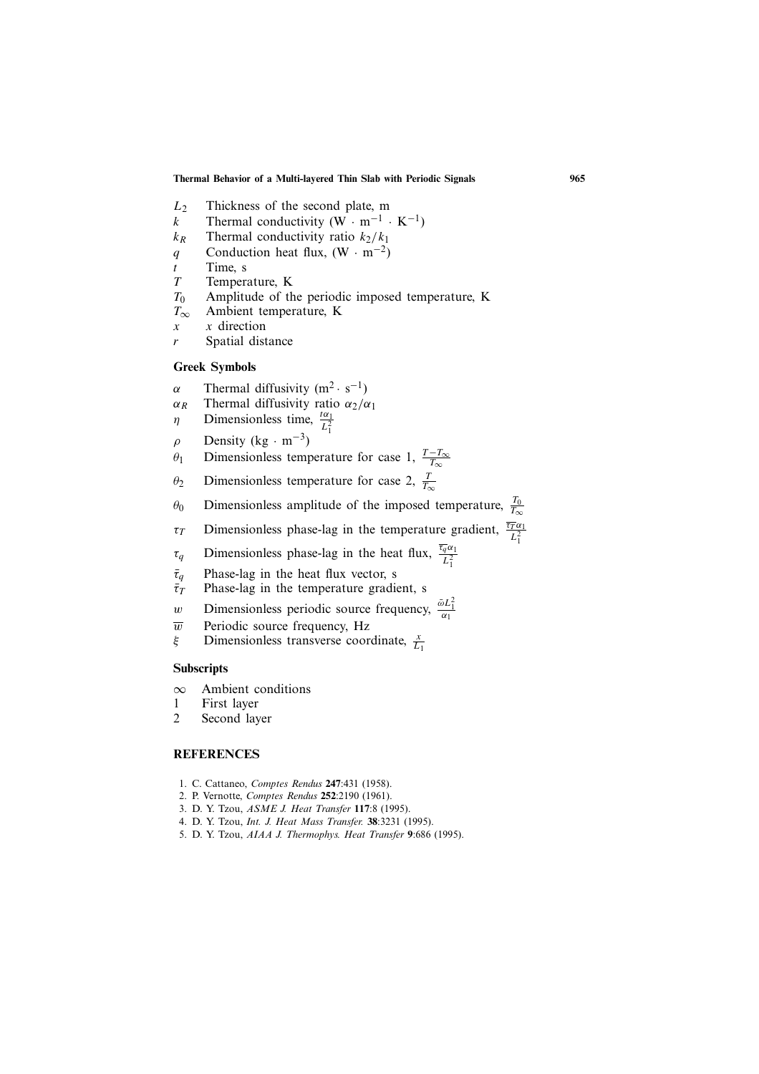- $L_2$  Thickness of the second plate, m<br>  $k$  Thermal conductivity (W · m<sup>-1</sup> ·
- k Thermal conductivity (W · m<sup>-1</sup> · K<sup>-1</sup>)<br>  $k_R$  Thermal conductivity ratio  $k_2/k_1$
- $k_R$  Thermal conductivity ratio  $k_2/k_1$ <br>q Conduction heat flux, (W · m<sup>-2</sup>)
- q Conduction heat flux,  $(W \cdot m^{-2})$ <br>t Time, s
- $t$  Time, s<br>  $T$  Temper
- $T_0$  Temperature, K<br> $T_0$  Amplitude of th
- $T_0$  Amplitude of the periodic imposed temperature, K<br> $T_{\infty}$  Ambient temperature, K
- $T_{\infty}$  Ambient temperature, K<br>x x direction
- $x \quad x$  direction<br>r Spatial dist
- Spatial distance

### **Greek Symbols**

α Thermal diffusivity (m<sup>2</sup> · s<sup>-1</sup>)<br>
α<sub>R</sub> Thermal diffusivity ratio α<sub>2</sub>/c

- $\alpha_R$  Thermal diffusivity ratio  $\alpha_2/\alpha_1$ <br> *n* Dimensionless time,  $\frac{t\alpha_1}{r^2}$
- $\eta$  Dimensionless time,  $\frac{t\alpha_1}{L_1^2}$
- $ρ$  Density (kg ⋅ m<sup>-3</sup>)<br>θ<sub>1</sub> Dimensionless temp
- $\theta_1$  Dimensionless temperature for case 1,  $\frac{T-T_{\infty}}{T_{\infty}}$
- $\theta_2$  Dimensionless temperature for case 2,  $\frac{1}{T_{\infty}}$
- $\theta_0$  Dimensionless amplitude of the imposed temperature,  $\frac{T_0}{T_{\infty}}$
- $\tau_T$  Dimensionless phase-lag in the temperature gradient,  $\frac{\tau_T \alpha_1}{L_1^2}$
- 
- $\tau_q$  Dimensionless phase-lag in the heat flux,  $\frac{\tau_q \alpha_1}{L_1^2}$
- $\bar{\tau}_q$  Phase-lag in the heat flux vector, s<br>  $\bar{\tau}_T$  Phase-lag in the temperature gradi
- $\bar{\tau}_T$  Phase-lag in the temperature gradient, s<br>w Dimensionless periodic source frequency w Dimensionless periodic source frequency,  $\frac{\partial L_1^2}{\partial q}$  $\alpha_1$
- $\overline{w}$  Periodic source frequency, Hz<br>  $\xi$  Dimensionless transverse coor
- $\xi$  Dimensionless transverse coordinate,  $\frac{x}{L_1}$

#### **Subscripts**

- ∞ Ambient conditions
- 1 First layer
- 2 Second layer

#### **REFERENCES**

- 1. C. Cattaneo, *Comptes Rendus* **247**:431 (1958).
- 2. P. Vernotte, *Comptes Rendus* **252**:2190 (1961).
- 3. D. Y. Tzou, *ASME J. Heat Transfer* **117**:8 (1995).
- 4. D. Y. Tzou, *Int. J. Heat Mass Transfer.* **38**:3231 (1995). 5. D. Y. Tzou, *AIAA J. Thermophys. Heat Transfer* **9**:686 (1995).